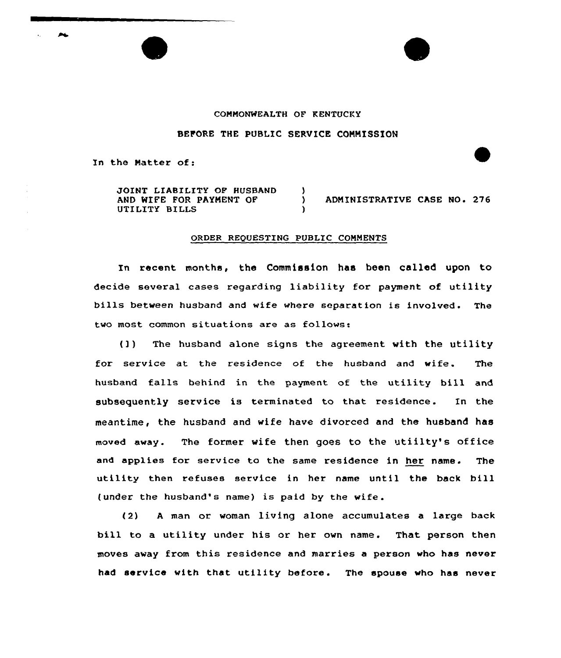## COMMONWEALTH OF KENTUCKY

## BEFORE THE PUBLIC SERVICE COMMISSION

In the Natter of:

JOINT LIABILITY OF HUSBAND AND WIFE FOR PAYMENT OF UTILITY BILLS

) ADMINISTRATIVE CASE NO. 276

## ORDER REQUESTING PUBLIC COMMENTS

)<br>)

)

In recent months, the Commission has been called upon to decide several cases regarding liability for payment of utility bills between husband and wife where separation is involved. The two most common situations are as follows:

(]) The husband alone signs the agreement with the utility for service at the residence of the husband and wife. The husband falls behind in the payment of the utility bill and subsequently service is terminated to that residence. In the meantime, the husband and wife have divorced and the husband has moved away. The former wife then goes to the utiilty's office and applies for service to the same residence in her name. The utility then refuses service in her name until the back bill (under the husband's name) is paid by the wife.

(2) A man or woman living alone accumulates a large back bill to a utility under his or her own name. That person then moves away from this residence and marries a person who has never had service with that utility before. The spouse who has never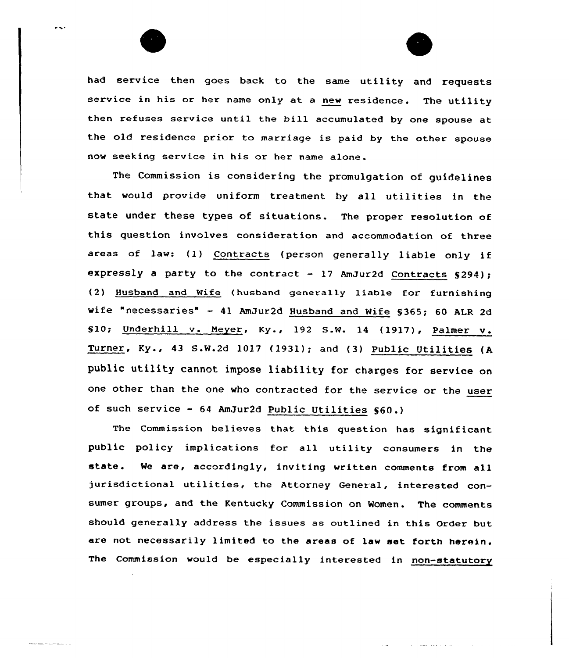

and the company of the

had service then goes back to the same utility and requests service in his or her name only at <sup>a</sup> new residence. The utility then refuses service until the bill accumulated by one spouse at the old residence prior to marriage is paid by the other spouse now seeking service in his or her name alone .

 $\sim$ 

The Commission is considering the promulgation of guidelines that would provide uniform treatment by all utilities in the state under these types of situations. The proper resolution of this question involves consideration and accommodation of three areas of law: (1) Contracts (person generally liable only if expressly a party to the contract - 17 AmJur2d Contracts  $$294$ ); (2) Husband and Wife (hueband generally liable for furnishing wife "necessaries" — <sup>41</sup> AmDur2d Husband and Wife 5365; <sup>60</sup> ALR 2d %10; Underhill v. Neyer, Ky., <sup>192</sup> S.W. <sup>14</sup> (1917), Palmer <sup>v</sup> . Turner, Ky., <sup>43</sup> S.W.2d 1017 (1931); and (3) Public Utilities (A public utility cannot impose liability for charges for service on one other than the one who contracted for the service or the user of such service — <sup>64</sup> AmJur2d Public Utilities 560.)

The Commission believes that this question has significant public policy implications for all utility consumers in the state. We are, accordingly, inviting written comments from all jurisdictional utilities, the Attorney General, interested consumer groups, and the Kentucky Commission on Women. The comments should generally address the issues as outlined in this Order but are not necessarily limited to the areas of law set forth herein. The Commission would be especially interested in non-statutory